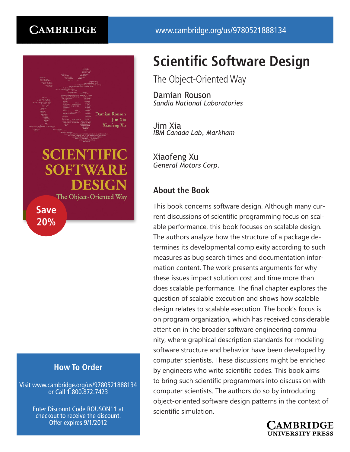# **CAMBRIDGE**



# **SCIENTIFIC SOFTWA** The Object-Oriented Way

**Save 20%**

## **How To Order**

Visit www.cambridge.org/us/9780521888134 or Call 1.800.872.7423

> Enter Discount Code ROUSON11 at checkout to receive the discount. Offer expires 9/1/2012

# **Scientific Software Design**

The Object-Oriented Way

Damian Rouson *Sandia National Laboratories*

Jim Xia *IBM Canada Lab, Markham*

Xiaofeng Xu *General Motors Corp.*

### **About the Book**

This book concerns software design. Although many current discussions of scientific programming focus on scalable performance, this book focuses on scalable design. The authors analyze how the structure of a package determines its developmental complexity according to such measures as bug search times and documentation information content. The work presents arguments for why these issues impact solution cost and time more than does scalable performance. The final chapter explores the question of scalable execution and shows how scalable design relates to scalable execution. The book's focus is on program organization, which has received considerable attention in the broader software engineering community, where graphical description standards for modeling software structure and behavior have been developed by computer scientists. These discussions might be enriched by engineers who write scientific codes. This book aims to bring such scientific programmers into discussion with computer scientists. The authors do so by introducing object-oriented software design patterns in the context of scientific simulation.